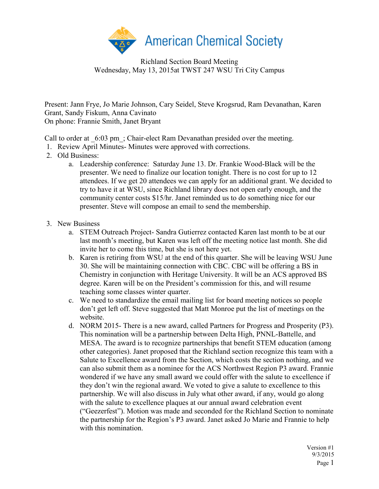

Richland Section Board Meeting Wednesday, May 13, 2015at TWST 247 WSU Tri City Campus

Present: Jann Frye, Jo Marie Johnson, Cary Seidel, Steve Krogsrud, Ram Devanathan, Karen Grant, Sandy Fiskum, Anna Cavinato On phone: Frannie Smith, Janet Bryant

Call to order at  $6:03$  pm ; Chair-elect Ram Devanathan presided over the meeting.

- 1. Review April Minutes- Minutes were approved with corrections.
- 2. Old Business:
	- a. Leadership conference: Saturday June 13. Dr. Frankie Wood-Black will be the presenter. We need to finalize our location tonight. There is no cost for up to 12 attendees. If we get 20 attendees we can apply for an additional grant. We decided to try to have it at WSU, since Richland library does not open early enough, and the community center costs \$15/hr. Janet reminded us to do something nice for our presenter. Steve will compose an email to send the membership.
- 3. New Business
	- a. STEM Outreach Project- Sandra Gutierrez contacted Karen last month to be at our last month's meeting, but Karen was left off the meeting notice last month. She did invite her to come this time, but she is not here yet.
	- b. Karen is retiring from WSU at the end of this quarter. She will be leaving WSU June 30. She will be maintaining connection with CBC. CBC will be offering a BS in Chemistry in conjunction with Heritage University. It will be an ACS approved BS degree. Karen will be on the President's commission for this, and will resume teaching some classes winter quarter.
	- c. We need to standardize the email mailing list for board meeting notices so people don't get left off. Steve suggested that Matt Monroe put the list of meetings on the website.
	- d. NORM 2015- There is a new award, called Partners for Progress and Prosperity (P3). This nomination will be a partnership between Delta High, PNNL-Battelle, and MESA. The award is to recognize partnerships that benefit STEM education (among other categories). Janet proposed that the Richland section recognize this team with a Salute to Excellence award from the Section, which costs the section nothing, and we can also submit them as a nominee for the ACS Northwest Region P3 award. Frannie wondered if we have any small award we could offer with the salute to excellence if they don't win the regional award. We voted to give a salute to excellence to this partnership. We will also discuss in July what other award, if any, would go along with the salute to excellence plaques at our annual award celebration event ("Geezerfest"). Motion was made and seconded for the Richland Section to nominate the partnership for the Region's P3 award. Janet asked Jo Marie and Frannie to help with this nomination.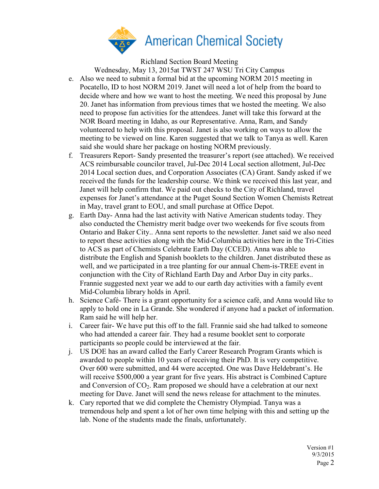

Richland Section Board Meeting

Wednesday, May 13, 2015at TWST 247 WSU Tri City Campus

- e. Also we need to submit a formal bid at the upcoming NORM 2015 meeting in Pocatello, ID to host NORM 2019. Janet will need a lot of help from the board to decide where and how we want to host the meeting. We need this proposal by June 20. Janet has information from previous times that we hosted the meeting. We also need to propose fun activities for the attendees. Janet will take this forward at the NOR Board meeting in Idaho, as our Representative. Anna, Ram, and Sandy volunteered to help with this proposal. Janet is also working on ways to allow the meeting to be viewed on line. Karen suggested that we talk to Tanya as well. Karen said she would share her package on hosting NORM previously.
- f. Treasurers Report- Sandy presented the treasurer's report (see attached). We received ACS reimbursable councilor travel, Jul-Dec 2014 Local section allotment, Jul-Dec 2014 Local section dues, and Corporation Associates (CA) Grant. Sandy asked if we received the funds for the leadership course. We think we received this last year, and Janet will help confirm that. We paid out checks to the City of Richland, travel expenses for Janet's attendance at the Puget Sound Section Women Chemists Retreat in May, travel grant to EOU, and small purchase at Office Depot.
- g. Earth Day- Anna had the last activity with Native American students today. They also conducted the Chemistry merit badge over two weekends for five scouts from Ontario and Baker City.. Anna sent reports to the newsletter. Janet said we also need to report these activities along with the Mid-Columbia activities here in the Tri-Cities to ACS as part of Chemists Celebrate Earth Day (CCED). Anna was able to distribute the English and Spanish booklets to the children. Janet distributed these as well, and we participated in a tree planting for our annual Chem-is-TREE event in conjunction with the City of Richland Earth Day and Arbor Day in city parks.. Frannie suggested next year we add to our earth day activities with a family event Mid-Columbia library holds in April.
- h. Science Café- There is a grant opportunity for a science café, and Anna would like to apply to hold one in La Grande. She wondered if anyone had a packet of information. Ram said he will help her.
- i. Career fair- We have put this off to the fall. Frannie said she had talked to someone who had attended a career fair. They had a resume booklet sent to corporate participants so people could be interviewed at the fair.
- j. US DOE has an award called the Early Career Research Program Grants which is awarded to people within 10 years of receiving their PhD. It is very competitive. Over 600 were submitted, and 44 were accepted. One was Dave Heldebrant's. He will receive \$500,000 a year grant for five years. His abstract is Combined Capture and Conversion of  $CO<sub>2</sub>$ . Ram proposed we should have a celebration at our next meeting for Dave. Janet will send the news release for attachment to the minutes.
- k. Cary reported that we did complete the Chemistry Olympiad. Tanya was a tremendous help and spent a lot of her own time helping with this and setting up the lab. None of the students made the finals, unfortunately.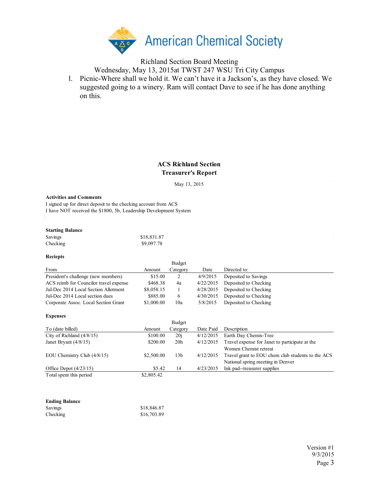

# Richland Section Board Meeting

Wednesday, May 13, 2015at TWST 247 WSU Tri City Campus

l. Picnic-Where shall we hold it. We can't have it a Jackson's, as they have closed. We suggested going to a winery. Ram will contact Dave to see if he has done anything on this.

## **ACS Richland Section Treasurer's Report**

May 13, 2015

#### **Activities and Comments**

I signed up for direct deposit to the checking account from ACS I have NOT received the \$1800, 5b, Leadership Development System

### **Starting Balance**

| Savings  | \$18,831.87 |
|----------|-------------|
| Checking | \$9,097.78  |

#### **Reciepts**

|                                        |            | <b>Budget</b> |           |                       |
|----------------------------------------|------------|---------------|-----------|-----------------------|
| From                                   | Amount     | Category      | Date      | Directed to:          |
| President's challenge (new members)    | \$15.00    | 2             | 4/9/2015  | Deposited to Savings  |
| ACS reimb for Councilor travel expense | \$468.38   | 4a            | 4/22/2015 | Deposited to Checking |
| Jul-Dec 2014 Local Section Allotment   | \$8,058.15 |               | 4/28/2015 | Deposited to Checking |
| Jul-Dec 2014 Local section dues        | \$885.00   | $\epsilon$    | 4/30/2015 | Deposited to Checking |
| Corporate Assoc. Local Section Grant   | \$1,000.00 | 10a           | 5/8/2015  | Deposited to Checking |

|                               |            | Budget          |           |                                                   |
|-------------------------------|------------|-----------------|-----------|---------------------------------------------------|
| To (date billed)              | Amount     | Category        | Date Paid | Description                                       |
| City of Richland (4/8/15)     | \$100.00   | 20i             | 4/12/2015 | Earth Day Chemis-Tree                             |
| Janet Bryant $(4/8/15)$       | \$200.00   | 20 <sub>h</sub> | 4/12/2015 | Travel expense for Janet to participate at the    |
|                               |            |                 |           | Women Chemist retreat                             |
| EOU Chemistry Club $(4/8/15)$ | \$2,500.00 | 13 <sub>b</sub> | 4/12/2015 | Travel grant to EOU chem club students to the ACS |
|                               |            |                 |           | National spring meeting in Denver                 |
| Office Depot $(4/23/15)$      | \$5.42     | 14              | 4/23/2015 | Ink pad--treasurer supplies                       |
| Total spent this period       | \$2,805.42 |                 |           |                                                   |

| <b>Ending Balance</b> |             |
|-----------------------|-------------|
| Savings               | \$18,846.87 |
| Checking              | \$16,703.89 |